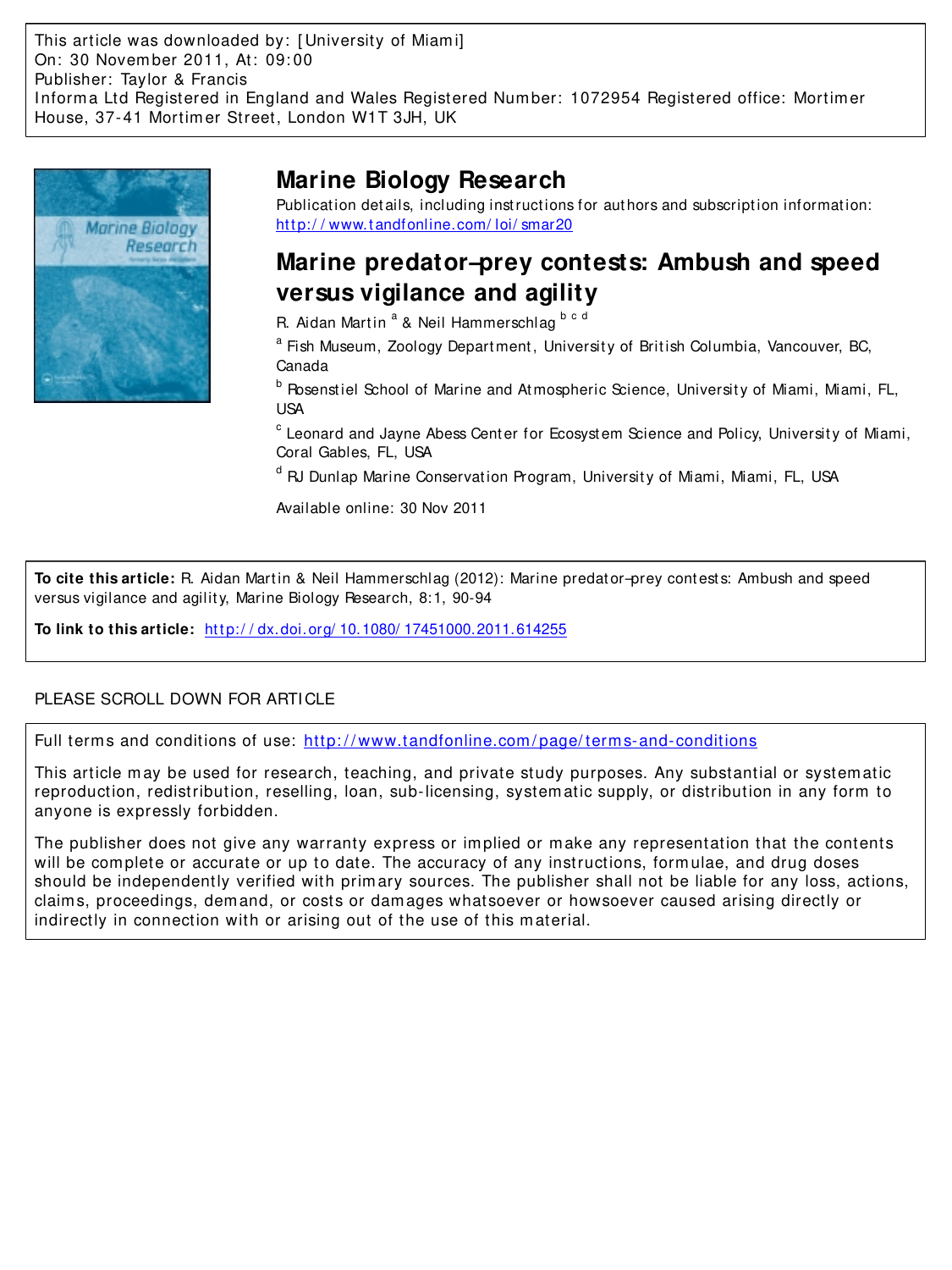This article was downloaded by: [ University of Miam i] On: 30 Novem ber 2011, At: 09: 00 Publisher: Taylor & Francis Informa Ltd Registered in England and Wales Registered Number: 1072954 Registered office: Mortimer House, 37-41 Mortim er Street, London W1T 3JH, UK



# **Marine Biology Research**

Publication details, including instructions for authors and subscription information: http://www.tandfonline.com/loi/smar20

# **Marine predator–prey contests: Ambush and speed versus vigilance and agility**

R. Aidan Martin <sup>a</sup> & Neil Hammerschlag <sup>b c d</sup>

<sup>a</sup> Fish Museum, Zoology Department, University of British Columbia, Vancouver, BC, Canada

<sup>b</sup> Rosenstiel School of Marine and Atmospheric Science, University of Miami, Miami, FL, USA

 $^{\rm c}$  Leonard and Jayne Abess Center for Ecosystem Science and Policy, University of Miami, Coral Gables, FL, USA

<sup>d</sup> RJ Dunlap Marine Conservation Program, University of Miami, Miami, FL, USA

Available online: 30 Nov 2011

**To cite this article:** R. Aidan Martin & Neil Hammerschlag (2012): Marine predator-prey contests: Ambush and speed versus vigilance and agilit y, Marine Biology Research, 8:1, 90-94

**To link to this article:** http://dx.doi.org/ 10.1080/ 17451000.2011.614255

## PLEASE SCROLL DOWN FOR ARTICLE

Full term s and conditions of use: [http: / / www.tandfonline.com / page/ term s-and-conditions](http://www.tandfonline.com/page/terms-and-conditions)

This article m ay be used for research, teaching, and private study purposes. Any substantial or system atic reproduction, redistribution, reselling, loan, sub-licensing, system atic supply, or distribution in any form to anyone is expressly forbidden.

The publisher does not give any warranty express or implied or make any representation that the contents will be complete or accurate or up to date. The accuracy of any instructions, formulae, and drug doses should be independently verified with prim ary sources. The publisher shall not be liable for any loss, actions, claim s, proceedings, dem and, or costs or dam ages whatsoever or howsoever caused arising directly or indirectly in connection with or arising out of the use of this m aterial.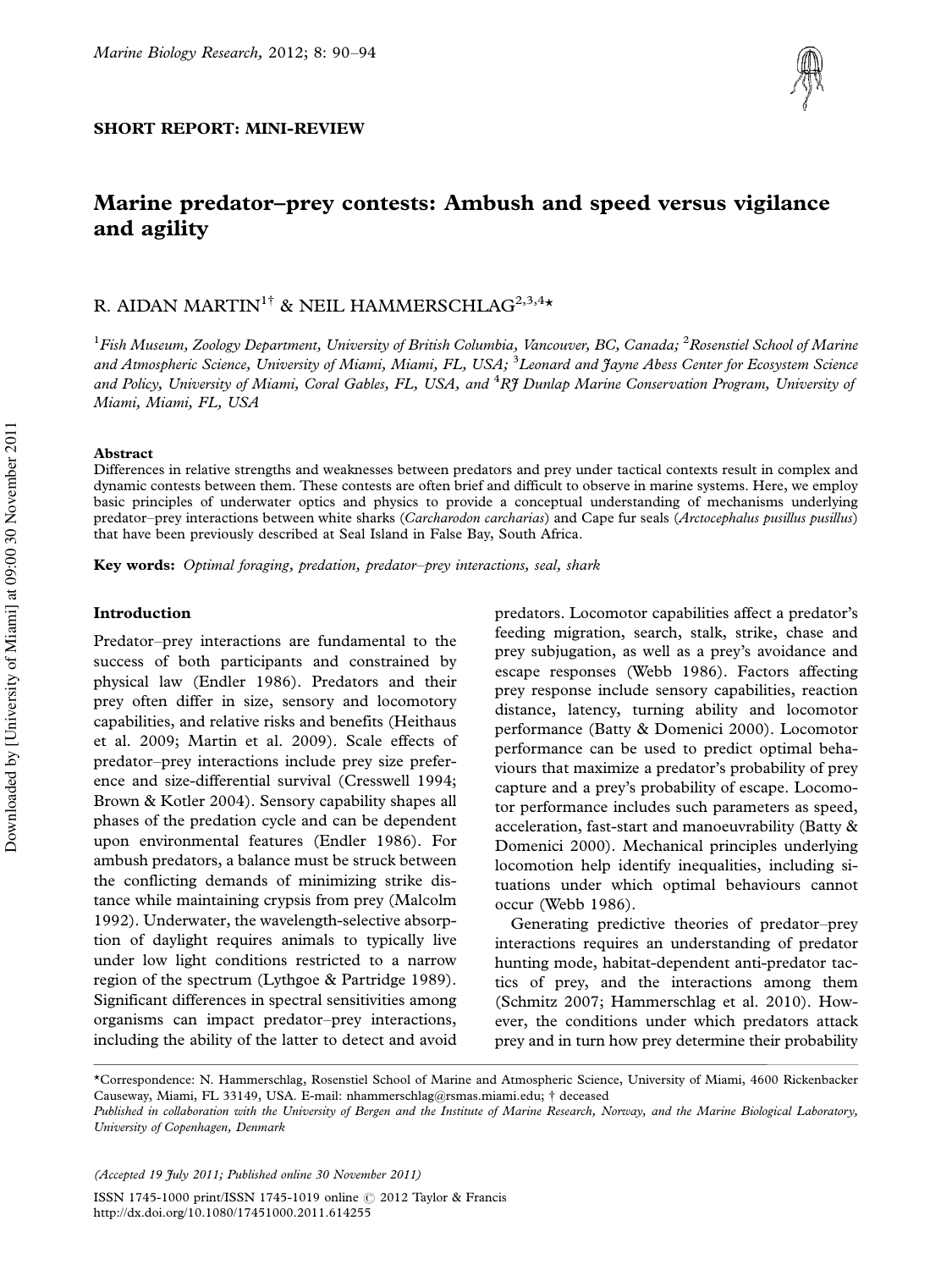## SHORT REPORT: MINI-REVIEW



# Marine predator-prey contests: Ambush and speed versus vigilance and agility

## R. AIDAN MARTIN<sup>1†</sup> & NEIL HAMMERSCHLAG<sup>2,3,4</sup>\*

<sup>1</sup>*Fish Museum, Zoology Department, University of British Columbia, Vancouver, BC, Canada;* <sup>2</sup>*Rosenstiel School of Marine and Atmospheric Science, University of Miami, Miami, FL, USA;* <sup>3</sup>*Leonard and Jayne Abess Center for Ecosystem Science and Policy, University of Miami, Coral Gables, FL, USA, and* <sup>4</sup>*RJ Dunlap Marine Conservation Program, University of Miami, Miami, FL, USA*

#### Abstract

Differences in relative strengths and weaknesses between predators and prey under tactical contexts result in complex and dynamic contests between them. These contests are often brief and difficult to observe in marine systems. Here, we employ basic principles of underwater optics and physics to provide a conceptual understanding of mechanisms underlying predator-prey interactions between white sharks (*Carcharodon carcharias*) and Cape fur seals (*Arctocephalus pusillus pusillus*) that have been previously described at Seal Island in False Bay, South Africa.

Key words: *Optimal foraging, predation, predatorprey interactions, seal, shark*

### Introduction

Predator-prey interactions are fundamental to the success of both participants and constrained by physical law (Endler 1986). Predators and their prey often differ in size, sensory and locomotory capabilities, and relative risks and benefits (Heithaus et al. 2009; Martin et al. 2009). Scale effects of predator-prey interactions include prey size preference and size-differential survival (Cresswell 1994; Brown & Kotler 2004). Sensory capability shapes all phases of the predation cycle and can be dependent upon environmental features (Endler 1986). For ambush predators, a balance must be struck between the conflicting demands of minimizing strike distance while maintaining crypsis from prey (Malcolm 1992). Underwater, the wavelength-selective absorption of daylight requires animals to typically live under low light conditions restricted to a narrow region of the spectrum (Lythgoe & Partridge 1989). Significant differences in spectral sensitivities among organisms can impact predator-prey interactions, including the ability of the latter to detect and avoid

predators. Locomotor capabilities affect a predator's feeding migration, search, stalk, strike, chase and prey subjugation, as well as a prey's avoidance and escape responses (Webb 1986). Factors affecting prey response include sensory capabilities, reaction distance, latency, turning ability and locomotor performance (Batty & Domenici 2000). Locomotor performance can be used to predict optimal behaviours that maximize a predator's probability of prey capture and a prey's probability of escape. Locomotor performance includes such parameters as speed, acceleration, fast-start and manoeuvrability (Batty & Domenici 2000). Mechanical principles underlying locomotion help identify inequalities, including situations under which optimal behaviours cannot occur (Webb 1986).

Generating predictive theories of predator-prey interactions requires an understanding of predator hunting mode, habitat-dependent anti-predator tactics of prey, and the interactions among them (Schmitz 2007; Hammerschlag et al. 2010). However, the conditions under which predators attack prey and in turn how prey determine their probability

*(Accepted 19 July 2011; Published online 30 November 2011)*

ISSN 1745-1000 print/ISSN 1745-1019 online © 2012 Taylor & Francis <http://dx.doi.org/10.1080/17451000.2011.614255>

<sup>\*</sup>Correspondence: N. Hammerschlag, Rosenstiel School of Marine and Atmospheric Science, University of Miami, 4600 Rickenbacker Causeway, Miami, FL 33149, USA. E-mail: nhammerschlag@rsmas.miami.edu; † deceased

*Published in collaboration with the University of Bergen and the Institute of Marine Research, Norway, and the Marine Biological Laboratory, University of Copenhagen, Denmark*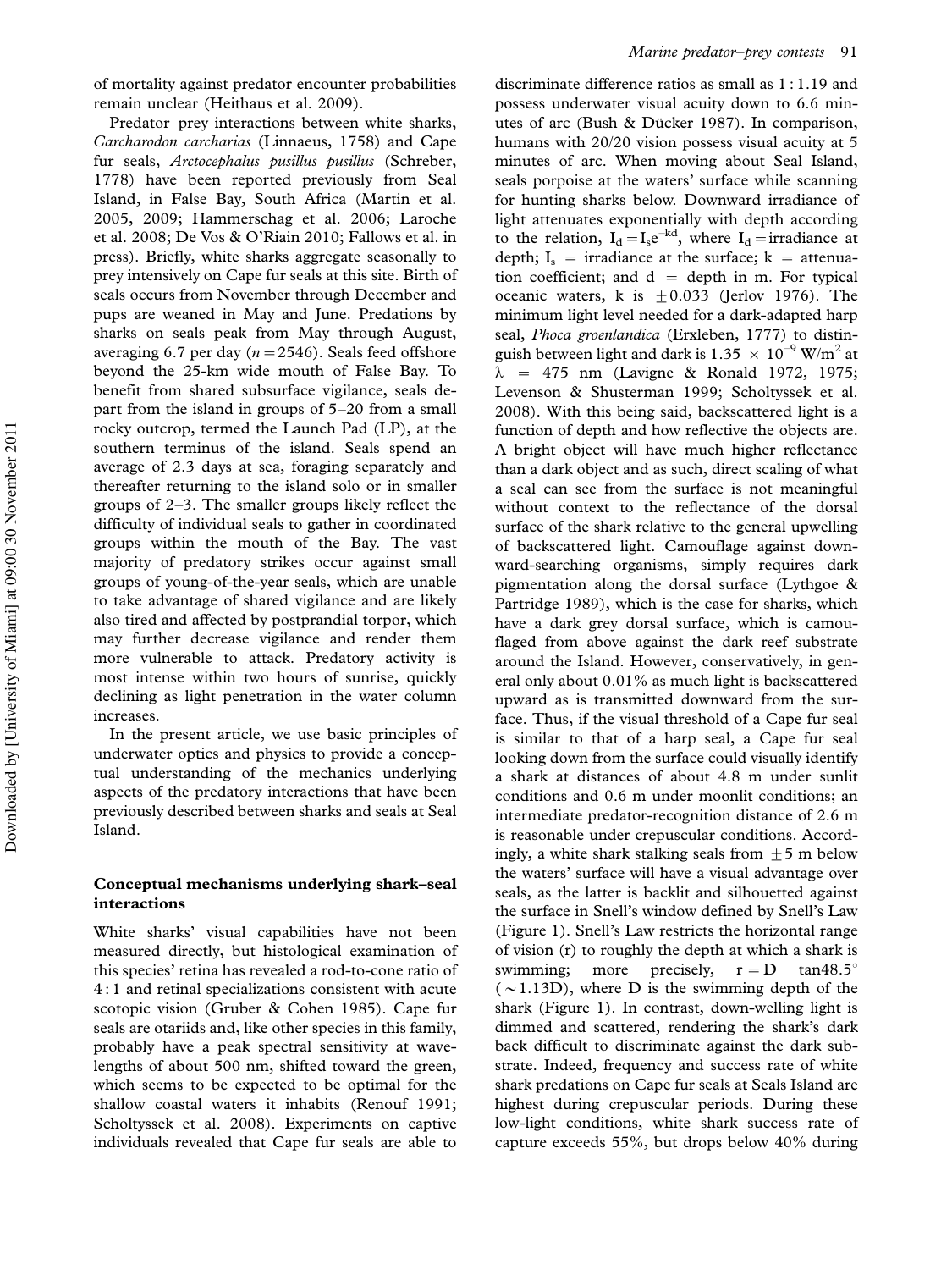Predator-prey interactions between white sharks, *Carcharodon carcharias* (Linnaeus, 1758) and Cape fur seals, *Arctocephalus pusillus pusillus* (Schreber, 1778) have been reported previously from Seal Island, in False Bay, South Africa (Martin et al. 2005, 2009; Hammerschag et al. 2006; Laroche et al. 2008; De Vos & O'Riain 2010; Fallows et al. in press). Briefly, white sharks aggregate seasonally to prey intensively on Cape fur seals at this site. Birth of seals occurs from November through December and pups are weaned in May and June. Predations by sharks on seals peak from May through August, averaging 6.7 per day  $(n=2546)$ . Seals feed offshore beyond the 25-km wide mouth of False Bay. To benefit from shared subsurface vigilance, seals depart from the island in groups of  $5-20$  from a small rocky outcrop, termed the Launch Pad (LP), at the southern terminus of the island. Seals spend an average of 2.3 days at sea, foraging separately and thereafter returning to the island solo or in smaller groups of  $2-3$ . The smaller groups likely reflect the difficulty of individual seals to gather in coordinated groups within the mouth of the Bay. The vast majority of predatory strikes occur against small groups of young-of-the-year seals, which are unable to take advantage of shared vigilance and are likely also tired and affected by postprandial torpor, which may further decrease vigilance and render them more vulnerable to attack. Predatory activity is most intense within two hours of sunrise, quickly declining as light penetration in the water column increases.

In the present article, we use basic principles of underwater optics and physics to provide a conceptual understanding of the mechanics underlying aspects of the predatory interactions that have been previously described between sharks and seals at Seal Island.

### Conceptual mechanisms underlying shark-seal interactions

White sharks' visual capabilities have not been measured directly, but histological examination of this species' retina has revealed a rod-to-cone ratio of 4 : 1 and retinal specializations consistent with acute scotopic vision (Gruber & Cohen 1985). Cape fur seals are otariids and, like other species in this family, probably have a peak spectral sensitivity at wavelengths of about 500 nm, shifted toward the green, which seems to be expected to be optimal for the shallow coastal waters it inhabits (Renouf 1991; Scholtyssek et al. 2008). Experiments on captive individuals revealed that Cape fur seals are able to

discriminate difference ratios as small as 1 : 1.19 and possess underwater visual acuity down to 6.6 minutes of arc (Bush & Dücker 1987). In comparison, humans with 20/20 vision possess visual acuity at 5 minutes of arc. When moving about Seal Island, seals porpoise at the waters' surface while scanning for hunting sharks below. Downward irradiance of light attenuates exponentially with depth according to the relation,  $I_d = I_s e^{-kd}$ , where  $I_d = \text{irradiance}$  at depth;  $I_s$  = irradiance at the surface; k = attenuation coefficient; and  $d =$  depth in m. For typical oceanic waters, k is  $\pm 0.033$  (Jerlov 1976). The minimum light level needed for a dark-adapted harp seal, *Phoca groenlandica* (Erxleben, 1777) to distinguish between light and dark is 1.35  $\times$   $10^{-9}$  W/m<sup>2</sup> at  $\lambda$  = 475 nm (Lavigne & Ronald 1972, 1975; Levenson & Shusterman 1999; Scholtyssek et al. 2008). With this being said, backscattered light is a function of depth and how reflective the objects are. A bright object will have much higher reflectance than a dark object and as such, direct scaling of what a seal can see from the surface is not meaningful without context to the reflectance of the dorsal surface of the shark relative to the general upwelling of backscattered light. Camouflage against downward-searching organisms, simply requires dark pigmentation along the dorsal surface (Lythgoe & Partridge 1989), which is the case for sharks, which have a dark grey dorsal surface, which is camouflaged from above against the dark reef substrate around the Island. However, conservatively, in general only about 0.01% as much light is backscattered upward as is transmitted downward from the surface. Thus, if the visual threshold of a Cape fur seal is similar to that of a harp seal, a Cape fur seal looking down from the surface could visually identify a shark at distances of about 4.8 m under sunlit conditions and 0.6 m under moonlit conditions; an intermediate predator-recognition distance of 2.6 m is reasonable under crepuscular conditions. Accordingly, a white shark stalking seals from  $+5$  m below the waters' surface will have a visual advantage over seals, as the latter is backlit and silhouetted against the surface in Snell's window defined by Snell's Law (Figure 1). Snell's Law restricts the horizontal range of vision (r) to roughly the depth at which a shark is swimming; more precisely,  $r = D$  tan48.5°  $(\sim 1.13D)$ , where D is the swimming depth of the shark (Figure 1). In contrast, down-welling light is dimmed and scattered, rendering the shark's dark back difficult to discriminate against the dark substrate. Indeed, frequency and success rate of white shark predations on Cape fur seals at Seals Island are highest during crepuscular periods. During these low-light conditions, white shark success rate of capture exceeds 55%, but drops below 40% during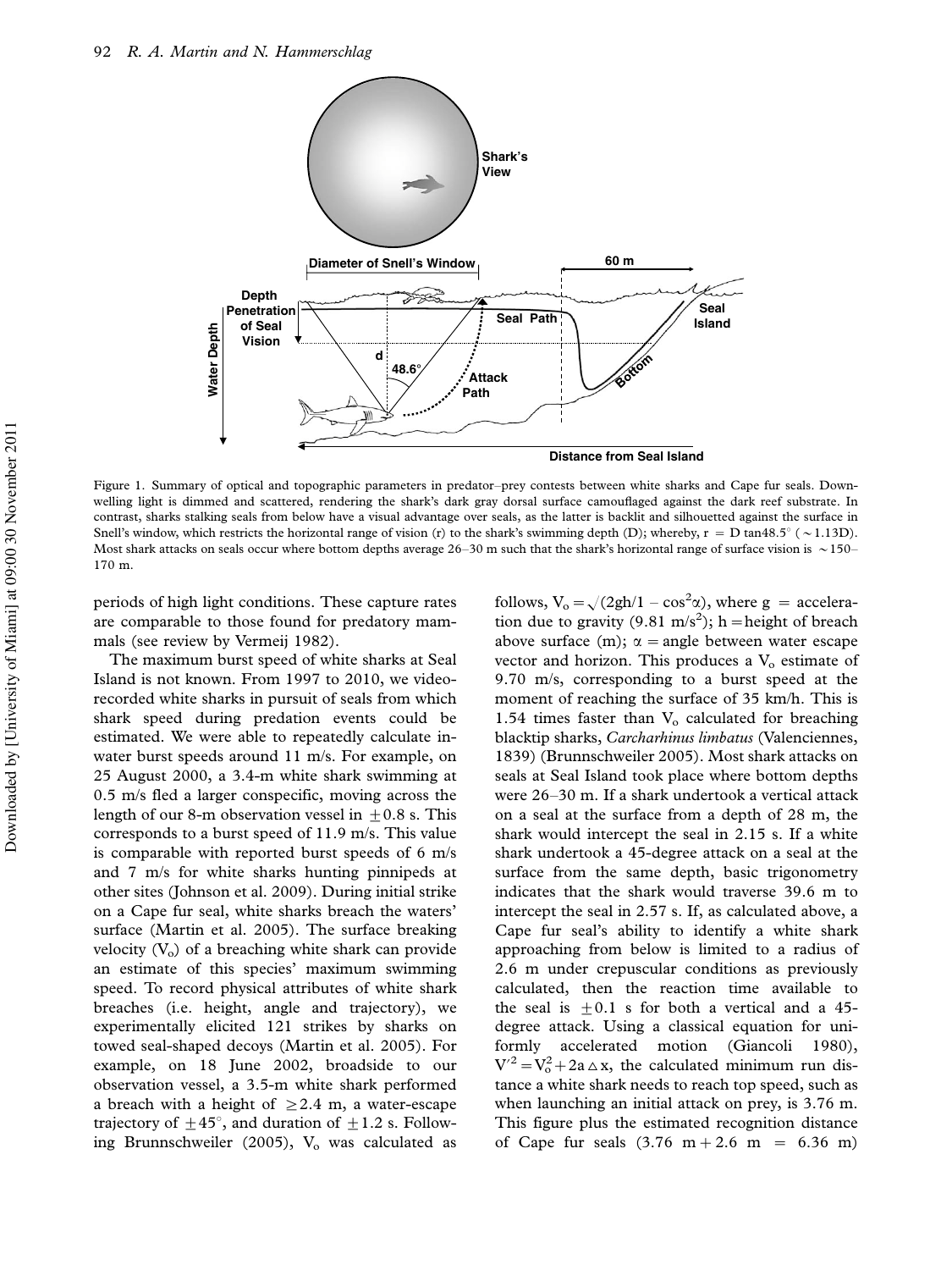

Figure 1. Summary of optical and topographic parameters in predator-prey contests between white sharks and Cape fur seals. Downwelling light is dimmed and scattered, rendering the shark's dark gray dorsal surface camouflaged against the dark reef substrate. In contrast, sharks stalking seals from below have a visual advantage over seals, as the latter is backlit and silhouetted against the surface in Snell's window, which restricts the horizontal range of vision (r) to the shark's swimming depth (D); whereby,  $r = D \tan 48.5^{\circ}$  ( $\sim 1.13D$ ). Most shark attacks on seals occur where bottom depths average  $26-30$  m such that the shark's horizontal range of surface vision is  $\sim 150-$ 170 m.

periods of high light conditions. These capture rates are comparable to those found for predatory mammals (see review by Vermeij 1982).

The maximum burst speed of white sharks at Seal Island is not known. From 1997 to 2010, we videorecorded white sharks in pursuit of seals from which shark speed during predation events could be estimated. We were able to repeatedly calculate inwater burst speeds around 11 m/s. For example, on 25 August 2000, a 3.4-m white shark swimming at 0.5 m/s fled a larger conspecific, moving across the length of our 8-m observation vessel in  $+0.8$  s. This corresponds to a burst speed of 11.9 m/s. This value is comparable with reported burst speeds of 6 m/s and 7 m/s for white sharks hunting pinnipeds at other sites (Johnson et al. 2009). During initial strike on a Cape fur seal, white sharks breach the waters' surface (Martin et al. 2005). The surface breaking velocity  $(V_0)$  of a breaching white shark can provide an estimate of this species' maximum swimming speed. To record physical attributes of white shark breaches (i.e. height, angle and trajectory), we experimentally elicited 121 strikes by sharks on towed seal-shaped decoys (Martin et al. 2005). For example, on 18 June 2002, broadside to our observation vessel, a 3.5-m white shark performed a breach with a height of  $\geq 2.4$  m, a water-escape trajectory of  $\pm 45^{\circ}$ , and duration of  $\pm 1.2$  s. Following Brunnschweiler (2005),  $V<sub>o</sub>$  was calculated as

follows,  $V_o = \sqrt{(2gh/1 - \cos^2\alpha)}$ , where g = acceleration due to gravity (9.81 m/s<sup>2</sup>); h = height of breach above surface (m);  $\alpha$  = angle between water escape vector and horizon. This produces a  $V_0$  estimate of 9.70 m/s, corresponding to a burst speed at the moment of reaching the surface of 35 km/h. This is 1.54 times faster than  $V<sub>o</sub>$  calculated for breaching blacktip sharks, *Carcharhinus limbatus* (Valenciennes, 1839) (Brunnschweiler 2005). Most shark attacks on seals at Seal Island took place where bottom depths were 26-30 m. If a shark undertook a vertical attack on a seal at the surface from a depth of 28 m, the shark would intercept the seal in 2.15 s. If a white shark undertook a 45-degree attack on a seal at the surface from the same depth, basic trigonometry indicates that the shark would traverse 39.6 m to intercept the seal in 2.57 s. If, as calculated above, a Cape fur seal's ability to identify a white shark approaching from below is limited to a radius of 2.6 m under crepuscular conditions as previously calculated, then the reaction time available to the seal is  $+0.1$  s for both a vertical and a 45degree attack. Using a classical equation for uniformly accelerated motion (Giancoli 1980),  $V^2 = V_0^2 + 2a \triangle x$ , the calculated minimum run distance a white shark needs to reach top speed, such as when launching an initial attack on prey, is 3.76 m. This figure plus the estimated recognition distance of Cape fur seals  $(3.76 \text{ m} + 2.6 \text{ m} = 6.36 \text{ m})$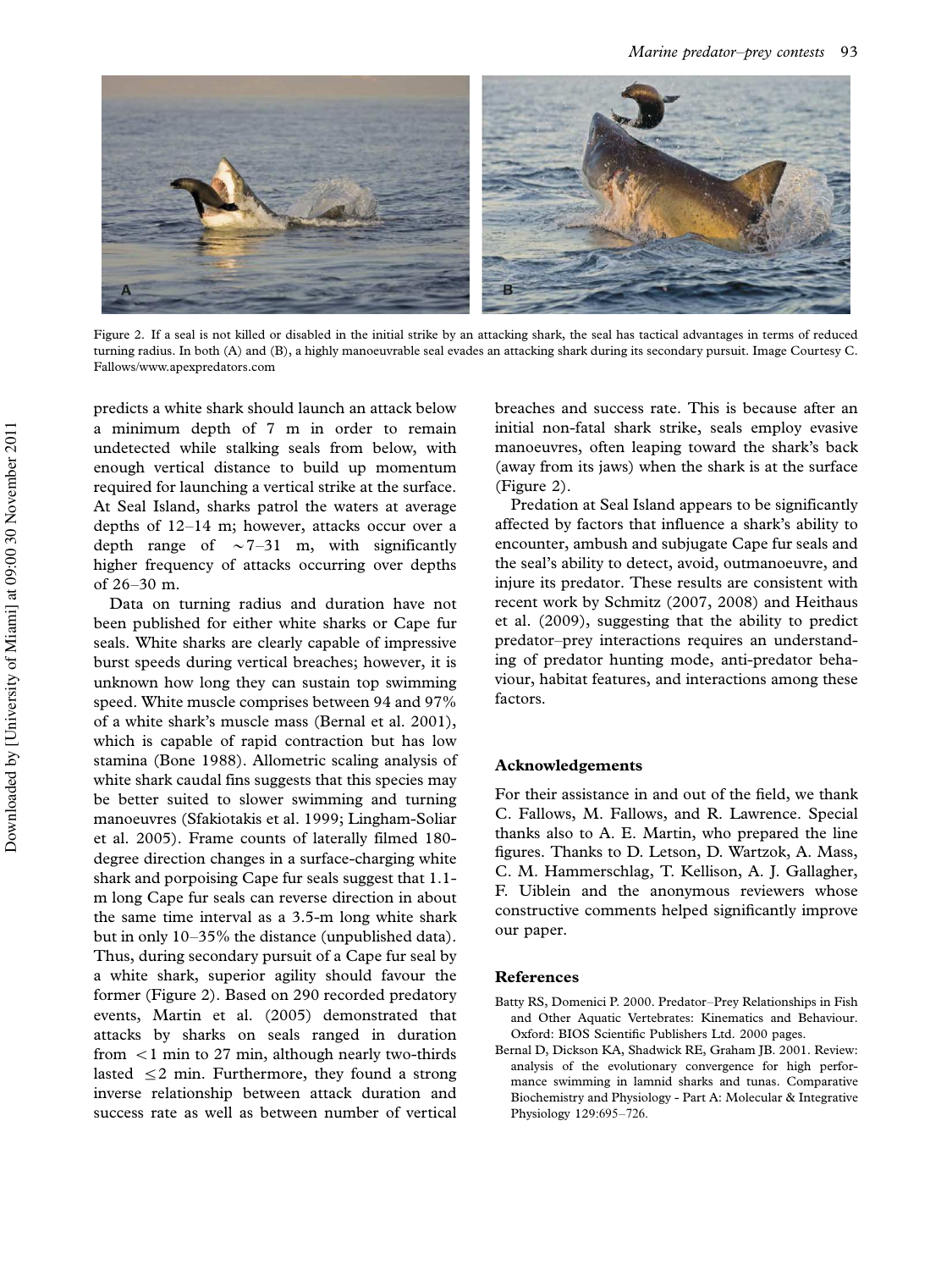

Figure 2. If a seal is not killed or disabled in the initial strike by an attacking shark, the seal has tactical advantages in terms of reduced turning radius. In both (A) and (B), a highly manoeuvrable seal evades an attacking shark during its secondary pursuit. Image Courtesy C. Fallows[/www.apexpredators.com](http://www.apexpredators.com)

predicts a white shark should launch an attack below a minimum depth of 7 m in order to remain undetected while stalking seals from below, with enough vertical distance to build up momentum required for launching a vertical strike at the surface. At Seal Island, sharks patrol the waters at average depths of  $12-14$  m; however, attacks occur over a depth range of  $\sim$  7–31 m, with significantly higher frequency of attacks occurring over depths of  $26 - 30$  m.

Data on turning radius and duration have not been published for either white sharks or Cape fur seals. White sharks are clearly capable of impressive burst speeds during vertical breaches; however, it is unknown how long they can sustain top swimming speed. White muscle comprises between 94 and 97% of a white shark's muscle mass (Bernal et al. 2001), which is capable of rapid contraction but has low stamina (Bone 1988). Allometric scaling analysis of white shark caudal fins suggests that this species may be better suited to slower swimming and turning manoeuvres (Sfakiotakis et al. 1999; Lingham-Soliar et al. 2005). Frame counts of laterally filmed 180 degree direction changes in a surface-charging white shark and porpoising Cape fur seals suggest that 1.1 m long Cape fur seals can reverse direction in about the same time interval as a 3.5-m long white shark but in only 10-35% the distance (unpublished data). Thus, during secondary pursuit of a Cape fur seal by a white shark, superior agility should favour the former (Figure 2). Based on 290 recorded predatory events, Martin et al. (2005) demonstrated that attacks by sharks on seals ranged in duration from  $\leq 1$  min to 27 min, although nearly two-thirds lasted  $\leq$  2 min. Furthermore, they found a strong inverse relationship between attack duration and success rate as well as between number of vertical

breaches and success rate. This is because after an initial non-fatal shark strike, seals employ evasive manoeuvres, often leaping toward the shark's back (away from its jaws) when the shark is at the surface (Figure 2).

Predation at Seal Island appears to be significantly affected by factors that influence a shark's ability to encounter, ambush and subjugate Cape fur seals and the seal's ability to detect, avoid, outmanoeuvre, and injure its predator. These results are consistent with recent work by Schmitz (2007, 2008) and Heithaus et al. (2009), suggesting that the ability to predict predator-prey interactions requires an understanding of predator hunting mode, anti-predator behaviour, habitat features, and interactions among these factors.

#### Acknowledgements

For their assistance in and out of the field, we thank C. Fallows, M. Fallows, and R. Lawrence. Special thanks also to A. E. Martin, who prepared the line figures. Thanks to D. Letson, D. Wartzok, A. Mass, C. M. Hammerschlag, T. Kellison, A. J. Gallagher, F. Uiblein and the anonymous reviewers whose constructive comments helped significantly improve our paper.

#### References

- Batty RS, Domenici P. 2000. Predator-Prey Relationships in Fish and Other Aquatic Vertebrates: Kinematics and Behaviour. Oxford: BIOS Scientific Publishers Ltd. 2000 pages.
- Bernal D, Dickson KA, Shadwick RE, Graham JB. 2001. Review: analysis of the evolutionary convergence for high performance swimming in lamnid sharks and tunas. Comparative Biochemistry and Physiology - Part A: Molecular & Integrative Physiology 129:695-726.